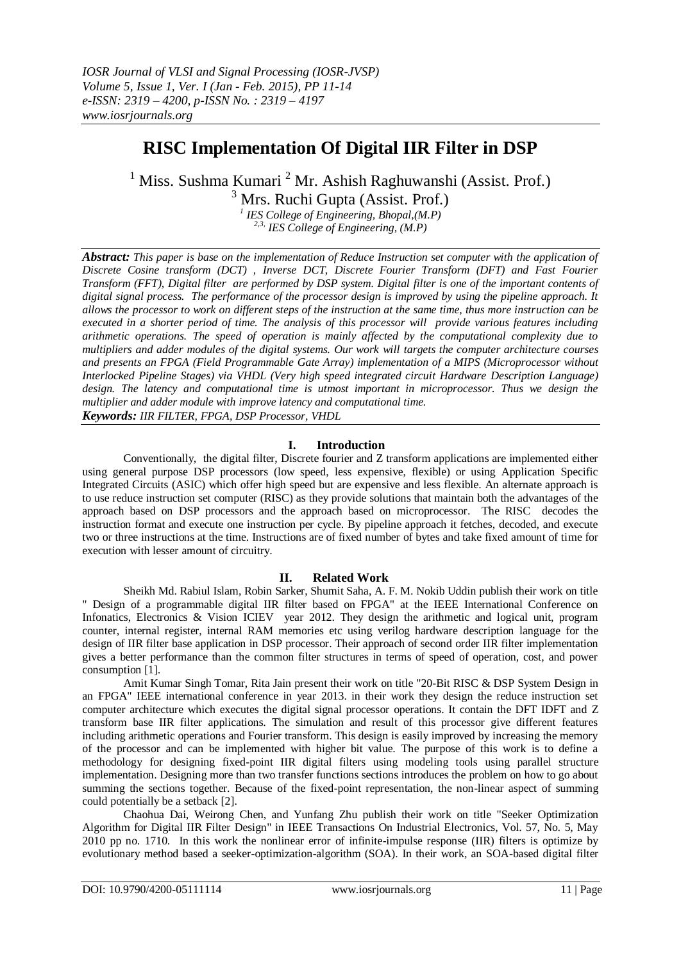# **RISC Implementation Of Digital IIR Filter in DSP**

<sup>1</sup> Miss. Sushma Kumari <sup>2</sup> Mr. Ashish Raghuwanshi (Assist. Prof.)  $3$  Mrs. Ruchi Gupta (Assist. Prof.)

> *1 IES College of Engineering, Bhopal,(M.P) 2,3, IES College of Engineering, (M.P)*

*Abstract: This paper is base on the implementation of Reduce Instruction set computer with the application of Discrete Cosine transform (DCT) , Inverse DCT, Discrete Fourier Transform (DFT) and Fast Fourier Transform (FFT), Digital filter are performed by DSP system. Digital filter is one of the important contents of digital signal process. The performance of the processor design is improved by using the pipeline approach. It allows the processor to work on different steps of the instruction at the same time, thus more instruction can be executed in a shorter period of time. The analysis of this processor will provide various features including arithmetic operations. The speed of operation is mainly affected by the computational complexity due to multipliers and adder modules of the digital systems. Our work will targets the computer architecture courses and presents an FPGA (Field Programmable Gate Array) implementation of a MIPS (Microprocessor without Interlocked Pipeline Stages) via VHDL (Very high speed integrated circuit Hardware Description Language) design. The latency and computational time is utmost important in microprocessor. Thus we design the multiplier and adder module with improve latency and computational time. Keywords: IIR FILTER, FPGA, DSP Processor, VHDL*

## **I. Introduction**

Conventionally, the digital filter, Discrete fourier and Z transform applications are implemented either using general purpose DSP processors (low speed, less expensive, flexible) or using Application Specific Integrated Circuits (ASIC) which offer high speed but are expensive and less flexible. An alternate approach is to use reduce instruction set computer (RISC) as they provide solutions that maintain both the advantages of the approach based on DSP processors and the approach based on microprocessor. The RISC decodes the instruction format and execute one instruction per cycle. By pipeline approach it fetches, decoded, and execute two or three instructions at the time. Instructions are of fixed number of bytes and take fixed amount of time for execution with lesser amount of circuitry.

## **II. Related Work**

Sheikh Md. Rabiul Islam, Robin Sarker, Shumit Saha, A. F. M. Nokib Uddin publish their work on title " Design of a programmable digital IIR filter based on FPGA" at the IEEE International Conference on Infonatics, Electronics & Vision ICIEV year 2012. They design the arithmetic and logical unit, program counter, internal register, internal RAM memories etc using verilog hardware description language for the design of IIR filter base application in DSP processor. Their approach of second order IIR filter implementation gives a better performance than the common filter structures in terms of speed of operation, cost, and power consumption [1].

Amit Kumar Singh Tomar, Rita Jain present their work on title "20-Bit RISC & DSP System Design in an FPGA" IEEE international conference in year 2013. in their work they design the reduce instruction set computer architecture which executes the digital signal processor operations. It contain the DFT IDFT and Z transform base IIR filter applications. The simulation and result of this processor give different features including arithmetic operations and Fourier transform. This design is easily improved by increasing the memory of the processor and can be implemented with higher bit value. The purpose of this work is to define a methodology for designing fixed-point IIR digital filters using modeling tools using parallel structure implementation. Designing more than two transfer functions sections introduces the problem on how to go about summing the sections together. Because of the fixed-point representation, the non-linear aspect of summing could potentially be a setback [2].

Chaohua Dai, Weirong Chen, and Yunfang Zhu publish their work on title "Seeker Optimization Algorithm for Digital IIR Filter Design" in IEEE Transactions On Industrial Electronics, Vol. 57, No. 5, May 2010 pp no. 1710. In this work the nonlinear error of infinite-impulse response (IIR) filters is optimize by evolutionary method based a seeker-optimization-algorithm (SOA). In their work, an SOA-based digital filter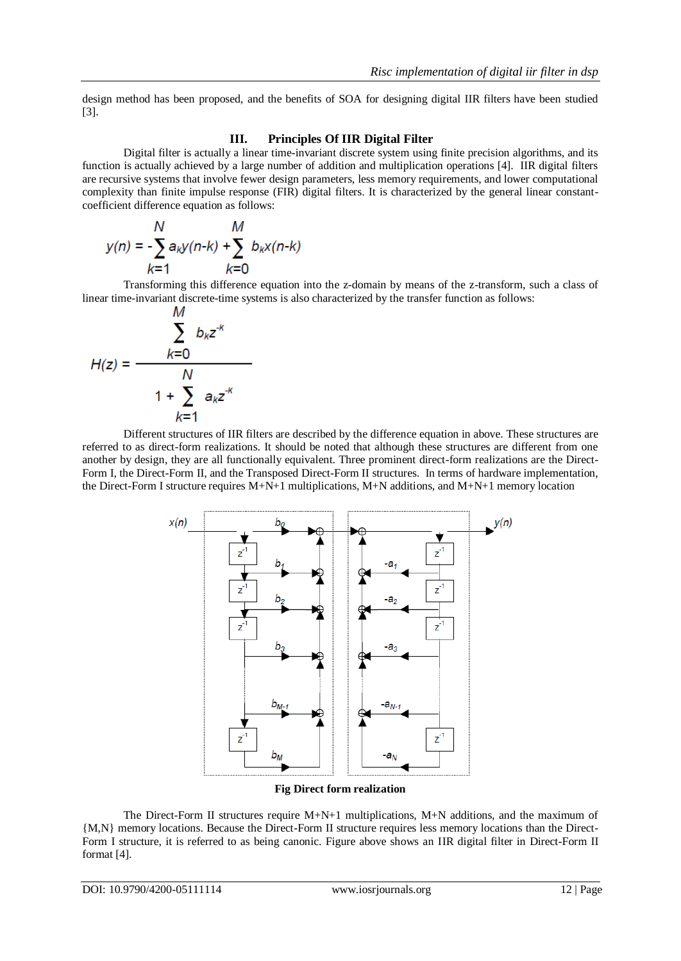design method has been proposed, and the benefits of SOA for designing digital IIR filters have been studied [3].

#### **III. Principles Of IIR Digital Filter**

Digital filter is actually a linear time-invariant discrete system using finite precision algorithms, and its function is actually achieved by a large number of addition and multiplication operations [4]. IIR digital filters are recursive systems that involve fewer design parameters, less memory requirements, and lower computational complexity than finite impulse response (FIR) digital filters. It is characterized by the general linear constantcoefficient difference equation as follows:

$$
y(n) = -\sum_{k=1}^{N} a_k y(n-k) + \sum_{k=0}^{M} b_k x(n-k)
$$

Transforming this difference equation into the z-domain by means of the z-transform, such a class of linear time-invariant discrete-time systems is also characterized by the transfer function as follows:

$$
H(z) = \frac{\sum_{k=0}^{M} b_k z^{-k}}{1 + \sum_{k=1}^{N} a_k z^{-k}}
$$

Different structures of IIR filters are described by the difference equation in above. These structures are referred to as direct-form realizations. It should be noted that although these structures are different from one another by design, they are all functionally equivalent. Three prominent direct-form realizations are the Direct-Form I, the Direct-Form II, and the Transposed Direct-Form II structures. In terms of hardware implementation, the Direct-Form I structure requires M+N+1 multiplications, M+N additions, and M+N+1 memory location



#### **Fig Direct form realization**

The Direct-Form II structures require M+N+1 multiplications, M+N additions, and the maximum of {M,N} memory locations. Because the Direct-Form II structure requires less memory locations than the Direct-Form I structure, it is referred to as being canonic. Figure above shows an IIR digital filter in Direct-Form II format [4].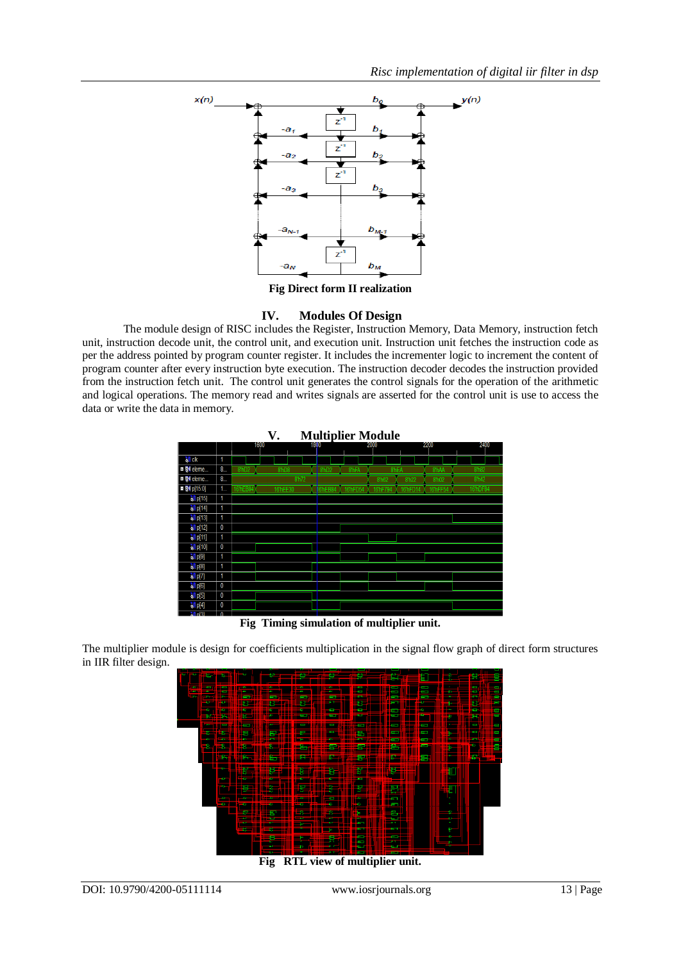

**Fig Direct form II realization**

## **IV. Modules Of Design**

The module design of RISC includes the Register, Instruction Memory, Data Memory, instruction fetch unit, instruction decode unit, the control unit, and execution unit. Instruction unit fetches the instruction code as per the address pointed by program counter register. It includes the incrementer logic to increment the content of program counter after every instruction byte execution. The instruction decoder decodes the instruction provided from the instruction fetch unit. The control unit generates the control signals for the operation of the arithmetic and logical operations. The memory read and writes signals are asserted for the control unit is use to access the data or write the data in memory.



**Fig Timing simulation of multiplier unit.**

The multiplier module is design for coefficients multiplication in the signal flow graph of direct form structures in IIR filter design.



**Fig RTL view of multiplier unit.**